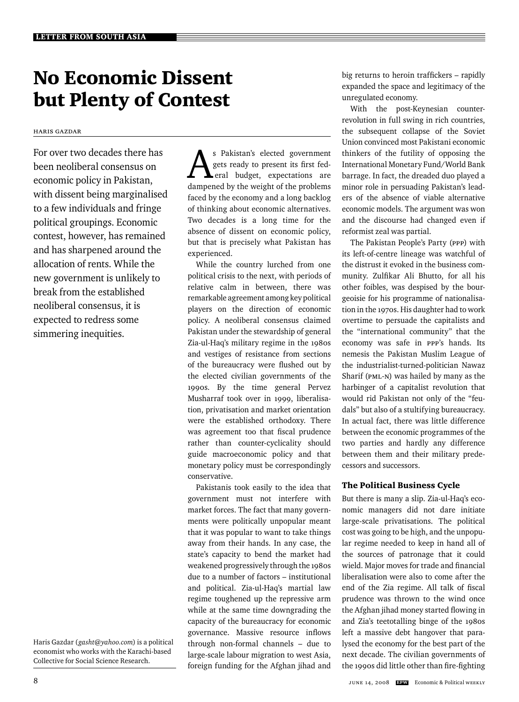# No Economic Dissent but Plenty of Contest

Haris Gazdar

For over two decades there has been neoliberal consensus on economic policy in Pakistan, with dissent being marginalised to a few individuals and fringe political groupings. Economic contest, however, has remained and has sharpened around the allocation of rents. While the new government is unlikely to break from the established neoliberal consensus, it is expected to redress some simmering inequities.

Haris Gazdar (*gasht@yahoo.com*) is a political economist who works with the Karachi-based Collective for Social Science Research.

As Pakistan's elected government<br>
gets ready to present its first fed-<br>
eral budget, expectations are<br>
damnaned by the weight of the problems gets ready to present its first fed dampened by the weight of the problems faced by the economy and a long backlog of thinking about economic alternatives. Two decades is a long time for the absence of dissent on economic policy, but that is precisely what Pakistan has experienced.

While the country lurched from one political crisis to the next, with periods of relative calm in between, there was remarkable agreement among key political players on the direction of economic policy. A neoliberal consensus claimed Pakistan under the stewardship of general Zia-ul-Haq's military regime in the 1980s and vestiges of resistance from sections of the bureaucracy were flushed out by the elected civilian governments of the 1990s. By the time general Pervez Musharraf took over in 1999, liberalisation, privatisation and market orientation were the established orthodoxy. There was agreement too that fiscal prudence rather than counter-cyclicality should guide macroeconomic policy and that monetary policy must be correspondingly conservative.

Pakistanis took easily to the idea that government must not interfere with market forces. The fact that many governments were politically unpopular meant that it was popular to want to take things away from their hands. In any case, the state's capacity to bend the market had weakened progressively through the 1980s due to a number of factors – institutional and political. Zia-ul-Haq's martial law regime toughened up the repressive arm while at the same time downgrading the capacity of the bureaucracy for economic governance. Massive resource inflows through non-formal channels – due to large-scale labour migration to west Asia, foreign funding for the Afghan jihad and big returns to heroin traffickers – rapidly expanded the space and legitimacy of the unregulated economy.

With the post-Keynesian counterrevolution in full swing in rich countries, the subsequent collapse of the Soviet Union convinced most Pakistani economic thinkers of the futility of opposing the International Monetary Fund/World Bank barrage. In fact, the dreaded duo played a minor role in persuading Pakistan's leaders of the absence of viable alternative economic models. The argument was won and the discourse had changed even if reformist zeal was partial.

The Pakistan People's Party (ppp) with its left-of-centre lineage was watchful of the distrust it evoked in the business community. Zulfikar Ali Bhutto, for all his other foibles, was despised by the bourgeoisie for his programme of nationalisation in the 1970s. His daughter had to work overtime to persuade the capitalists and the "international community" that the economy was safe in ppp's hands. Its nemesis the Pakistan Muslim League of the industrialist-turned-politician Nawaz Sharif (PML-N) was hailed by many as the harbinger of a capitalist revolution that would rid Pakistan not only of the "feudals" but also of a stultifying bureaucracy. In actual fact, there was little difference between the economic programmes of the two parties and hardly any difference between them and their military predecessors and successors.

## The Political Business Cycle

But there is many a slip. Zia-ul-Haq's economic managers did not dare initiate large-scale privatisations. The political cost was going to be high, and the unpopular regime needed to keep in hand all of the sources of patronage that it could wield. Major moves for trade and financial liberalisation were also to come after the end of the Zia regime. All talk of fiscal prudence was thrown to the wind once the Afghan jihad money started flowing in and Zia's teetotalling binge of the 1980s left a massive debt hangover that paralysed the economy for the best part of the next decade. The civilian governments of the 1990s did little other than fire-fighting